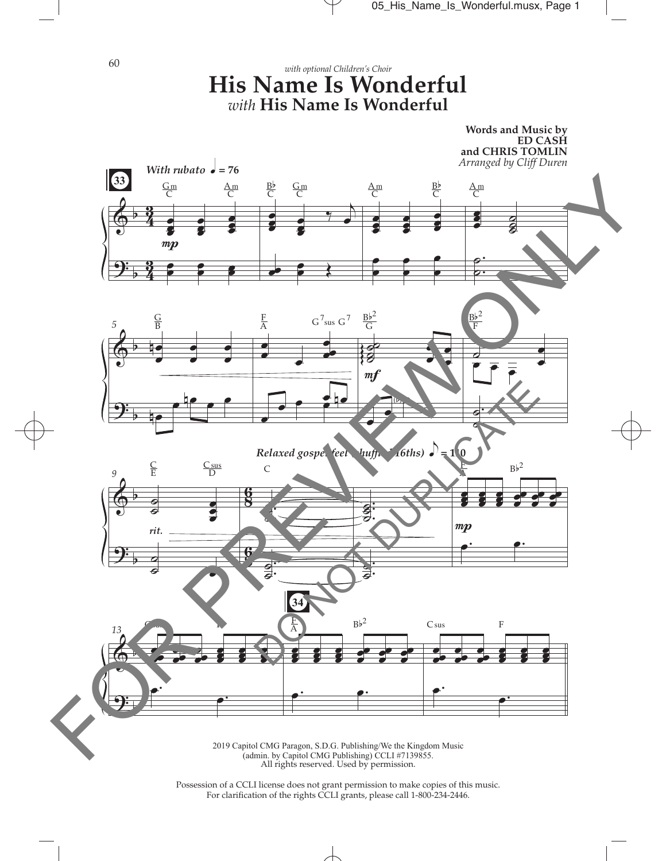

(admin. by Capitol CMG Publishing) CCLI #7139855. All rights reserved. Used by permission.

 $\overline{\phantom{a}}$ 

Possession of a CCLI license does not grant permission to make copies of this music. For clarifcation of the rights CCLI grants, please call 1-800-234-2446.

60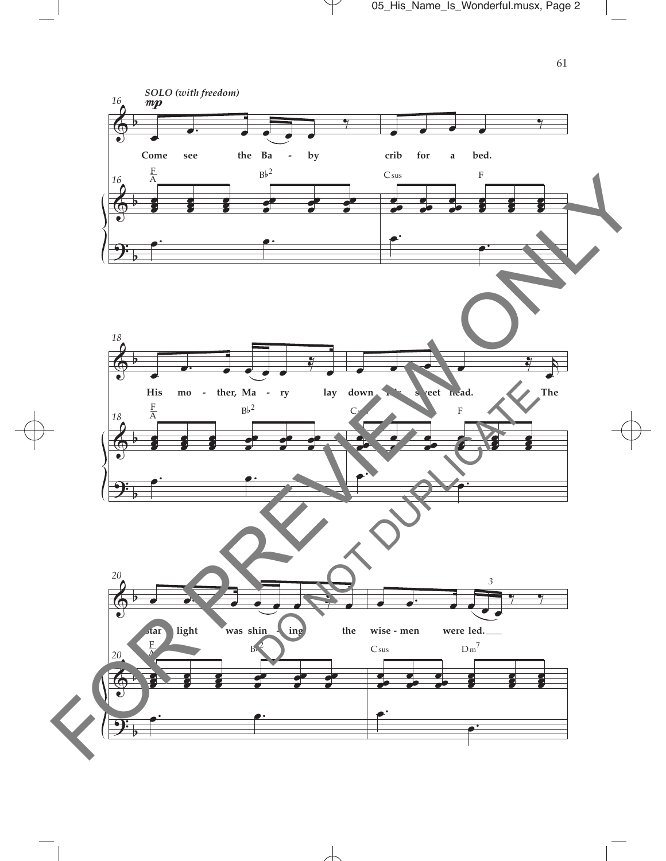

 $\overline{\phantom{a}}$ 

 $\mathcal Y$ 

61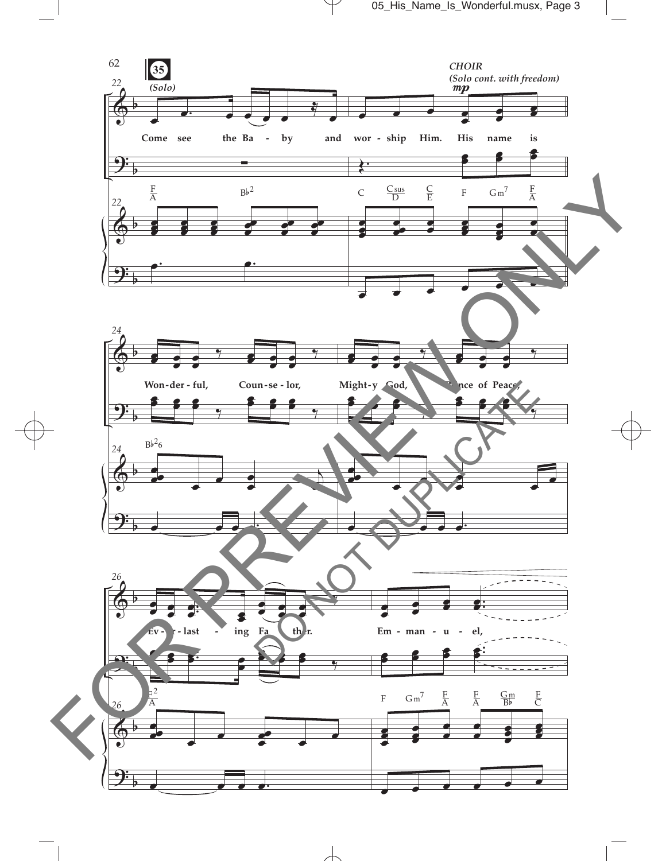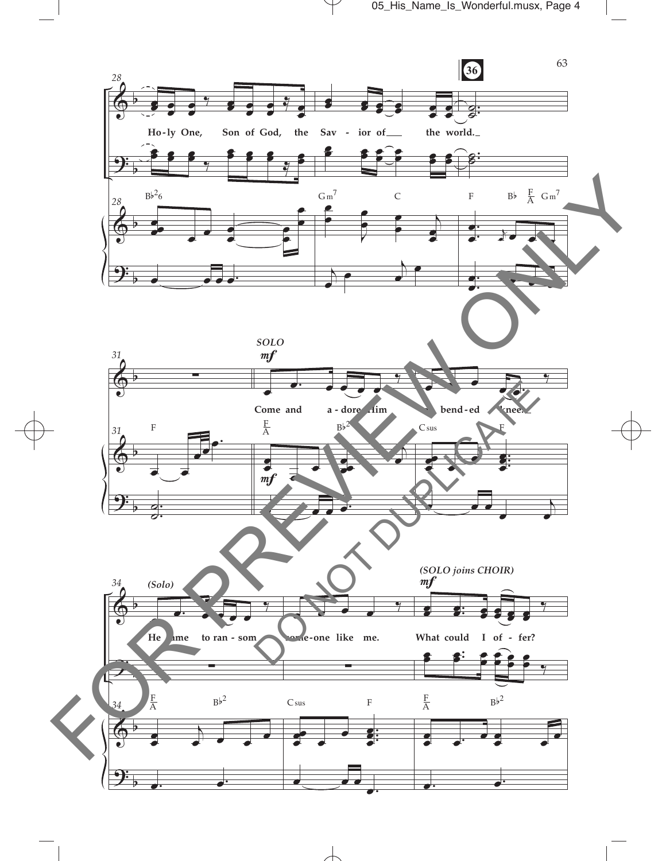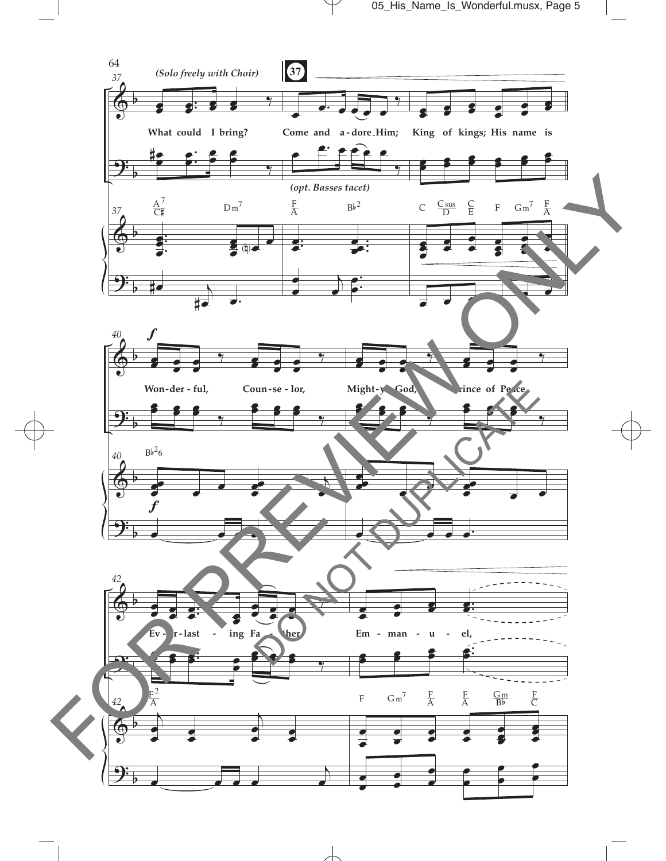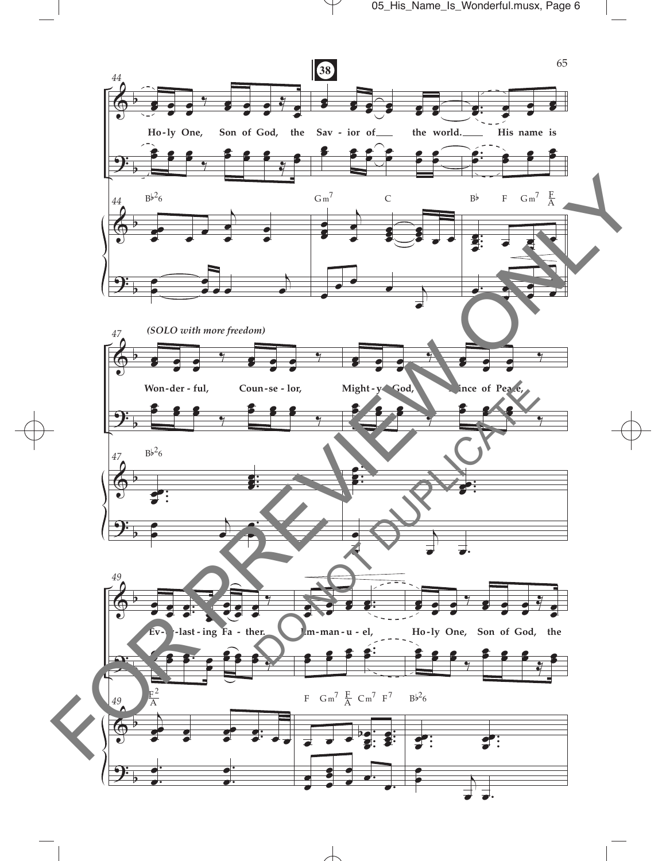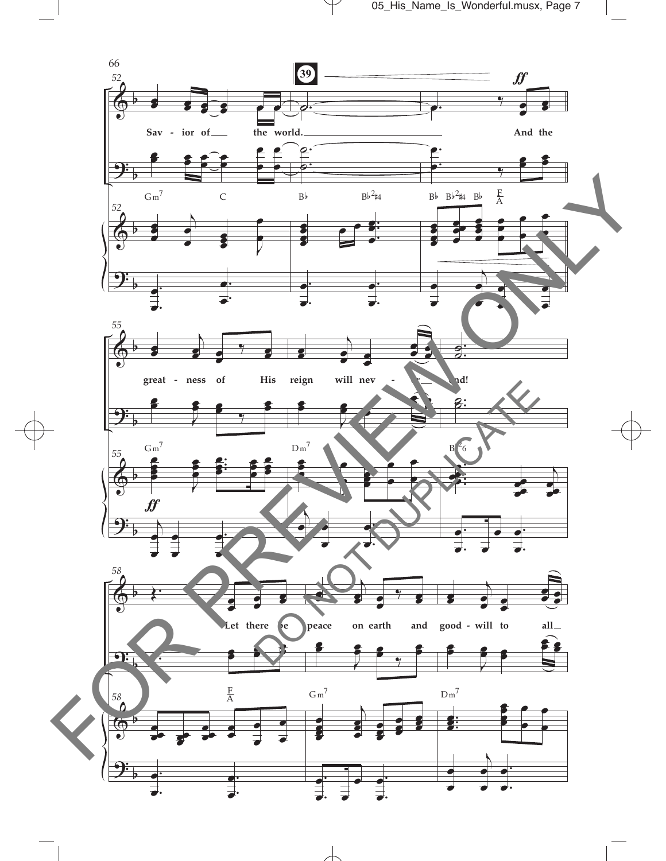

 $\mathcal Y$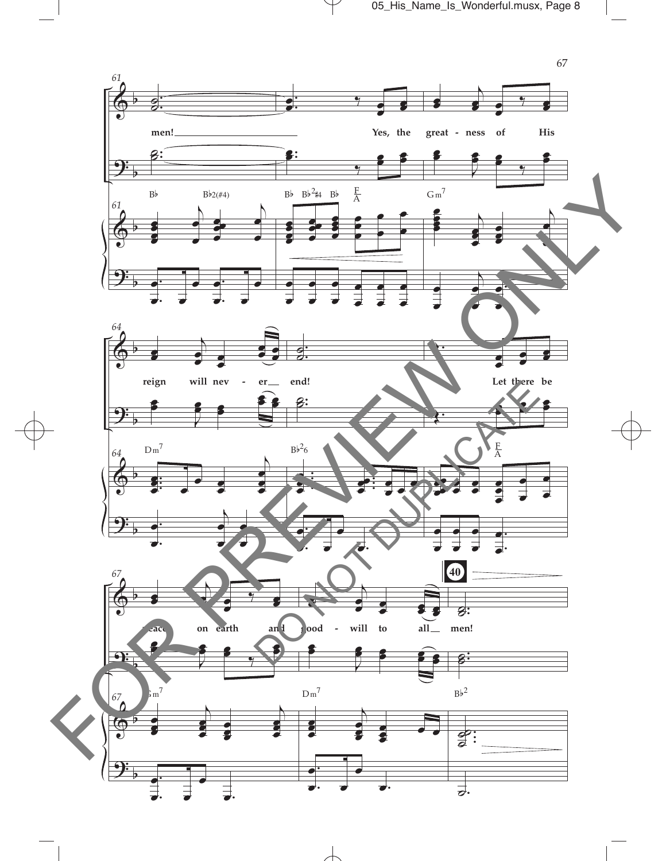05\_His\_Name\_Is\_Wonderful.musx, Page 8

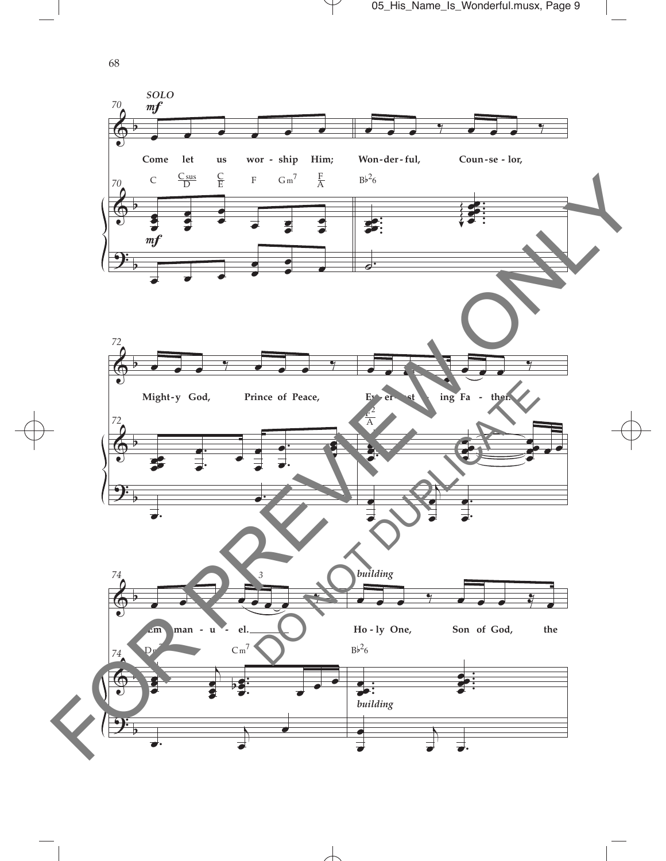

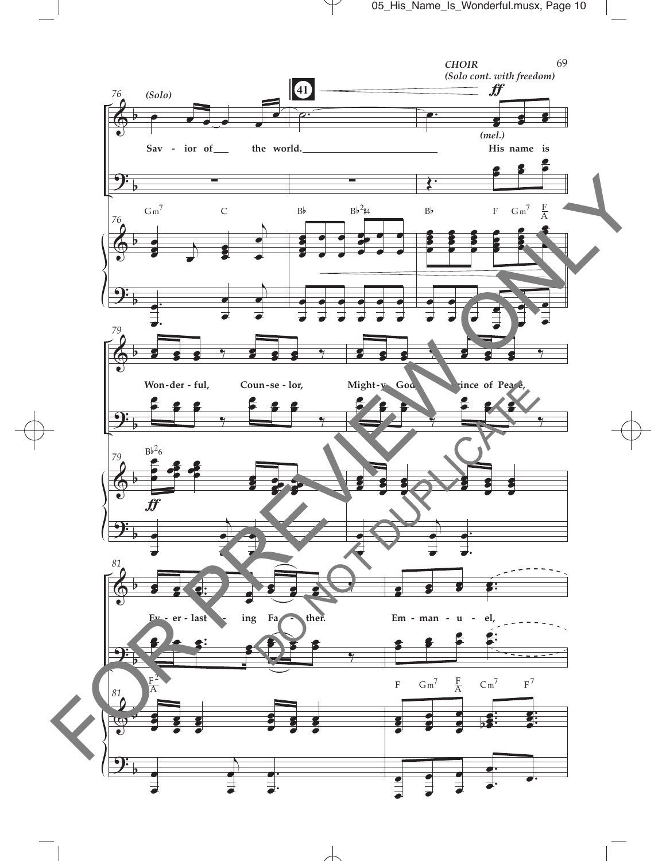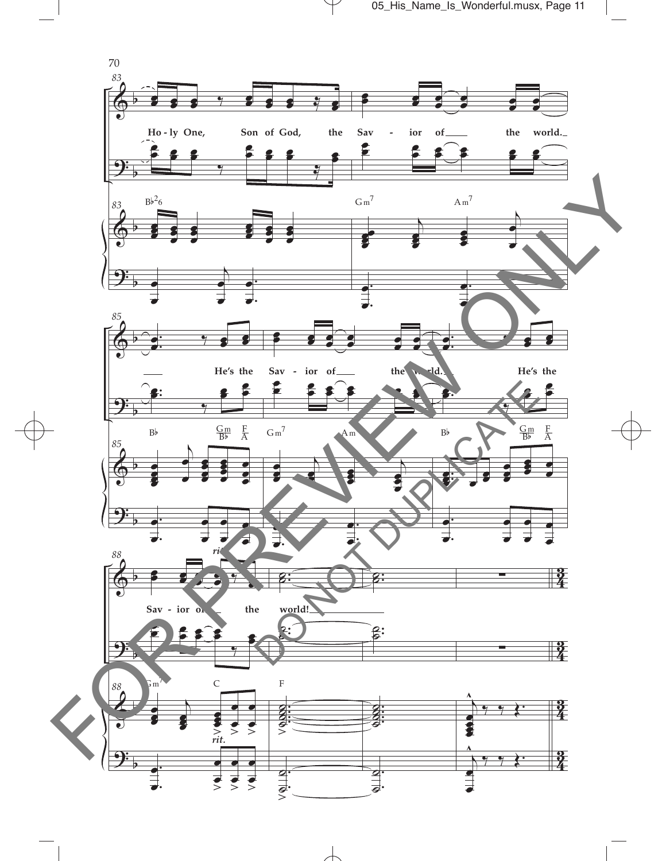05\_His\_Name\_Is\_Wonderful.musx, Page 11

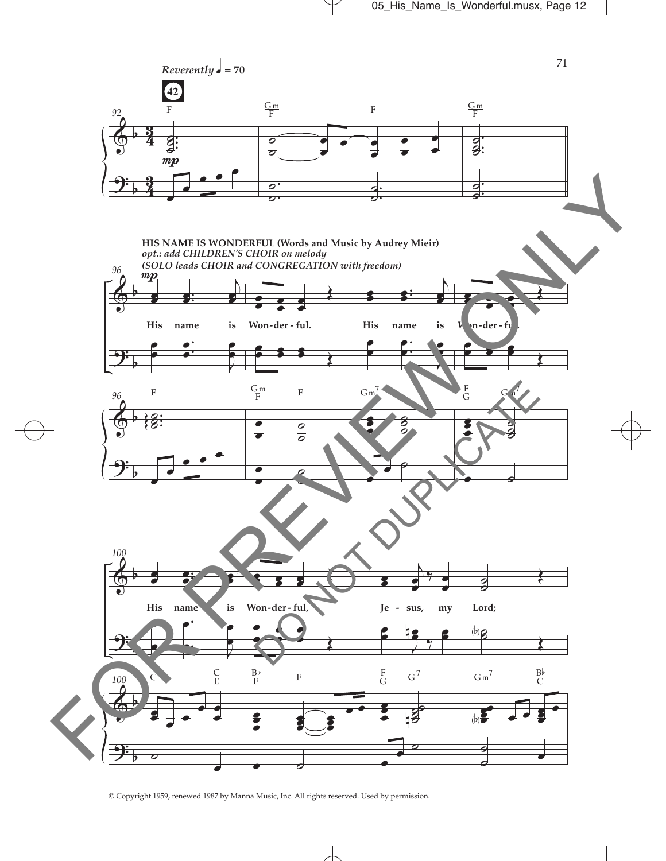

<sup>©</sup> Copyright 1959, renewed 1987 by Manna Music, Inc. All rights reserved. Used by permission.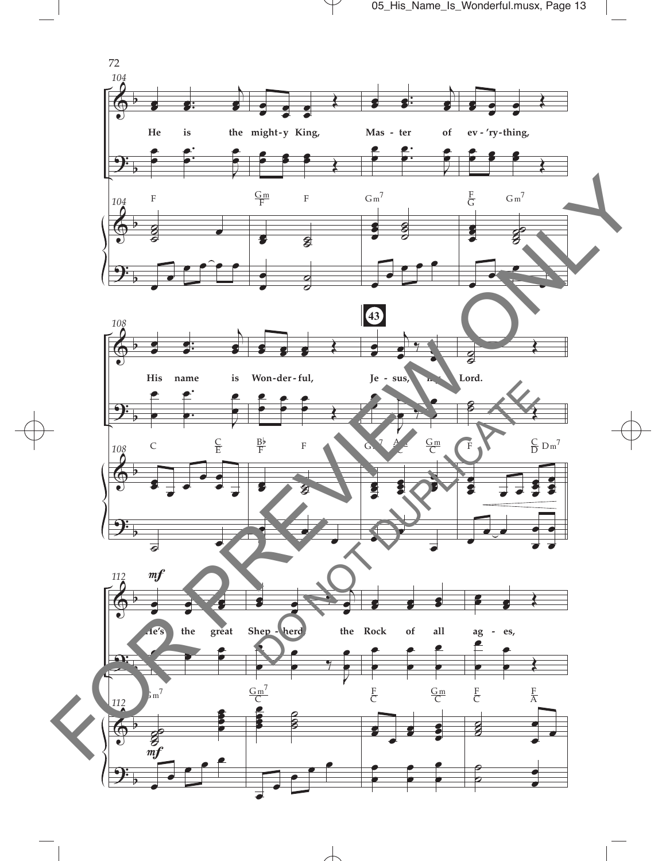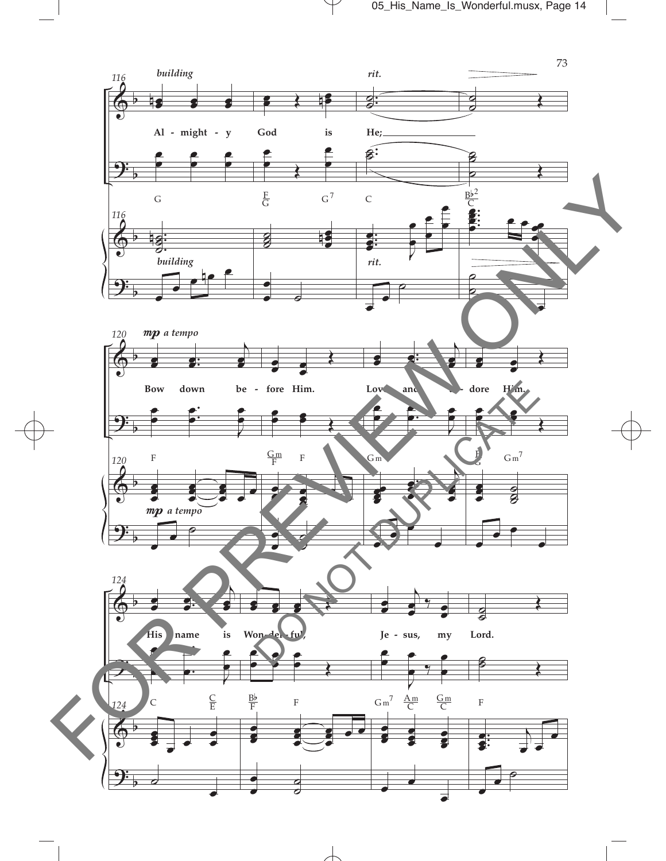